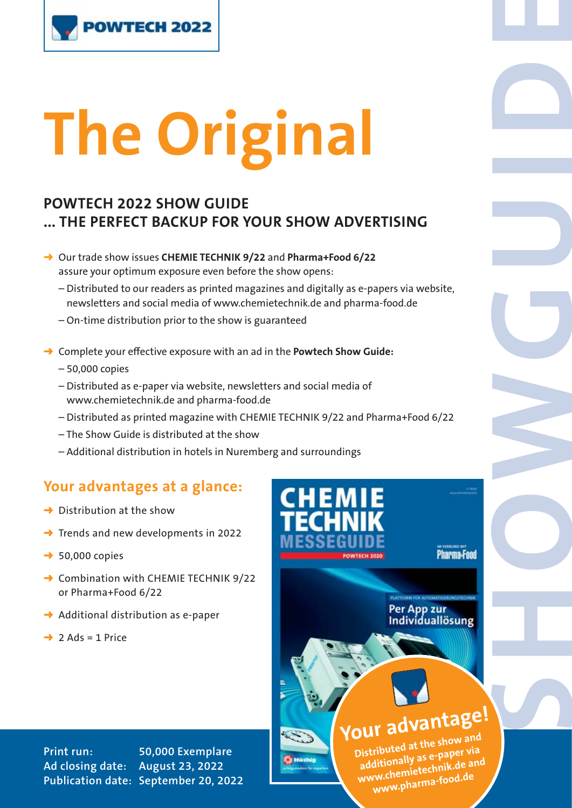

# **The Original**

# **POWTECH 2022 SHOW GUIDE ... THE PERFECT BACKUP FOR YOUR SHOW ADVERTISING**

- ➜ Our trade show issues **CHEMIE TECHNIK 9/22** and **Pharma+Food 6/22**  assure your optimum exposure even before the show opens:
	- Distributed to our readers as printed magazines and digitally as e-papers via website, newsletters and social media of www.chemietechnik.de and pharma-food.de
	- On-time distribution prior to the show is guaranteed
- **→ Complete your effective exposure with an ad in the Powtech Show Guide:** 
	- 50,000 copies
	- Distributed as e-paper via website, newsletters and social media of www.chemietechnik.de and pharma-food.de
	- Distributed as printed magazine with CHEMIE TECHNIK 9/22 and Pharma+Food 6/22
	- The Show Guide is distributed at the show
	- Additional distribution in hotels in Nuremberg and surroundings

# **Your advantages at a glance:**

- $\rightarrow$  Distribution at the show
- $\rightarrow$  Trends and new developments in 2022
- $\rightarrow$  50,000 copies
- **→ Combination with CHEMIE TECHNIK 9/22** or Pharma+Food 6/22
- $\rightarrow$  Additional distribution as e-paper
- $\rightarrow$  2 Ads = 1 Price



**Print run: 50,000 Exemplare Ad closing date: August 23, 2022 Publication date: September 20, 2022**